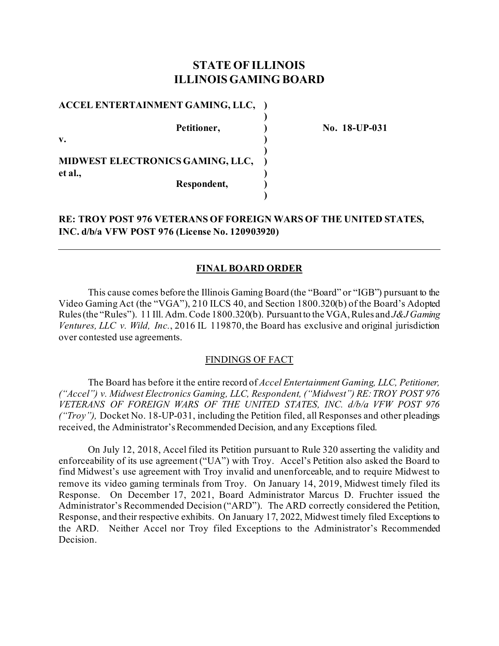# **STATE OF ILLINOIS ILLINOIS GAMING BOARD**

**)**

**)**

**)**

### **ACCEL ENTERTAINMENT GAMING, LLC, )**

**v. )** 

**Petitioner, ) No. 18-UP-031**

**MIDWEST ELECTRONICS GAMING, LLC, ) et al., ) Respondent, )**

**RE: TROY POST 976 VETERANS OF FOREIGN WARS OF THE UNITED STATES, INC. d/b/a VFW POST 976 (License No. 120903920)**

## **FINAL BOARD ORDER**

This cause comes before the Illinois Gaming Board (the "Board" or "IGB") pursuant to the Video Gaming Act (the "VGA"), 210 ILCS 40, and Section 1800.320(b) of the Board's Adopted Rules (the "Rules"). 11 Ill. Adm. Code 1800.320(b). Pursuant to the VGA, Rules and *J&J Gaming Ventures, LLC v. Wild, Inc.*, 2016 IL 119870, the Board has exclusive and original jurisdiction over contested use agreements.

### FINDINGS OF FACT

The Board has before it the entire record of *Accel Entertainment Gaming, LLC, Petitioner, ("Accel") v. Midwest Electronics Gaming, LLC, Respondent, ("Midwest") RE:TROY POST 976 VETERANS OF FOREIGN WARS OF THE UNITED STATES, INC. d/b/a VFW POST 976 ("Troy"),* Docket No. 18-UP-031, including the Petition filed, all Responses and other pleadings received, the Administrator's Recommended Decision, and any Exceptions filed.

On July 12, 2018, Accel filed its Petition pursuant to Rule 320 asserting the validity and enforceability of its use agreement ("UA") with Troy. Accel's Petition also asked the Board to find Midwest's use agreement with Troy invalid and unenforceable, and to require Midwest to remove its video gaming terminals from Troy. On January 14, 2019, Midwest timely filed its Response. On December 17, 2021, Board Administrator Marcus D. Fruchter issued the Administrator's Recommended Decision ("ARD"). The ARD correctly considered the Petition, Response, and their respective exhibits. On January 17, 2022, Midwest timely filed Exceptions to the ARD. Neither Accel nor Troy filed Exceptions to the Administrator's Recommended Decision.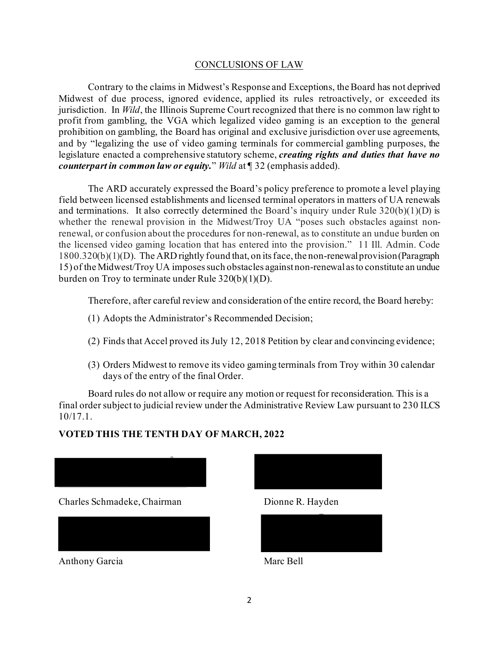## CONCLUSIONS OF LAW

Contrary to the claims in Midwest's Response and Exceptions, the Board has not deprived Midwest of due process, ignored evidence, applied its rules retroactively, or exceeded its jurisdiction. In *Wild*, the Illinois Supreme Court recognized that there is no common law right to profit from gambling, the VGA which legalized video gaming is an exception to the general prohibition on gambling, the Board has original and exclusive jurisdiction over use agreements, and by "legalizing the use of video gaming terminals for commercial gambling purposes, the legislature enacted a comprehensive statutory scheme, *creating rights and duties that have no counterpart in common law or equity.*" *Wild* at ¶ 32 (emphasis added).

The ARD accurately expressed the Board's policy preference to promote a level playing field between licensed establishments and licensed terminal operators in matters of UA renewals and terminations. It also correctly determined the Board's inquiry under Rule  $320(b)(1)(D)$  is whether the renewal provision in the Midwest/Troy UA "poses such obstacles against nonrenewal, or confusion about the procedures for non-renewal, as to constitute an undue burden on the licensed video gaming location that has entered into the provision." 11 Ill. Admin. Code 1800.320(b)(1)(D). The ARD rightly found that, on its face, the non-renewal provision (Paragraph 15) of the Midwest/Troy UA imposes such obstacles against non-renewal as to constitute an undue burden on Troy to terminate under Rule 320(b)(1)(D).

Therefore, after careful review and consideration of the entire record, the Board hereby:

- (1) Adopts the Administrator's Recommended Decision;
- (2) Finds that Accel proved its July 12, 2018 Petition by clear and convincing evidence;
- (3) Orders Midwest to remove its video gaming terminals from Troy within 30 calendar days of the entry of the final Order.

Board rules do not allow or require any motion or request for reconsideration. This is a final order subject to judicial review under the Administrative Review Law pursuant to 230 ILCS 10/17.1.

## **VOTED THIS THE TENTH DAY OF MARCH, 2022**



Charles Schmadeke, Chairman Dionne R. Hayden



Anthony Garcia Marc Bell



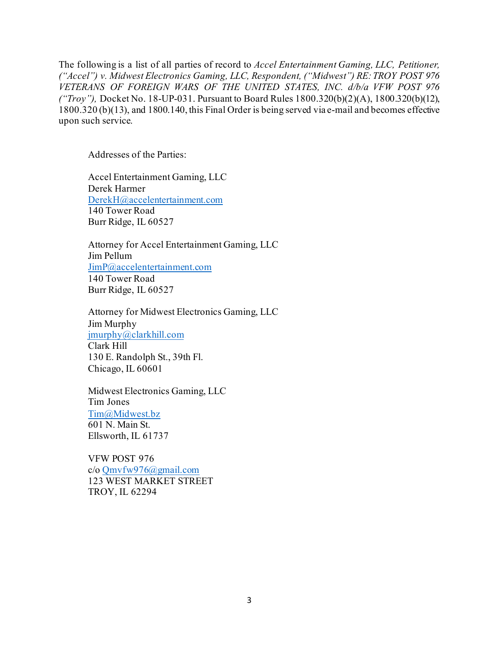The following is a list of all parties of record to *Accel Entertainment Gaming, LLC, Petitioner, ("Accel") v. Midwest Electronics Gaming, LLC, Respondent, ("Midwest") RE:TROY POST 976 VETERANS OF FOREIGN WARS OF THE UNITED STATES, INC. d/b/a VFW POST 976 ("Troy"),* Docket No. 18-UP-031. Pursuant to Board Rules 1800.320(b)(2)(A), 1800.320(b)(12), 1800.320 (b)(13), and 1800.140, this Final Order is being served via e-mail and becomes effective upon such service.

Addresses of the Parties:

Accel Entertainment Gaming, LLC Derek Harmer [DerekH@accelentertainment.com](mailto:DerekH@accelentertainment.com) 140 Tower Road Burr Ridge, IL 60527

Attorney for Accel Entertainment Gaming, LLC Jim Pellum [JimP@accelentertainment.com](mailto:JimP@accelentertainment.com) 140 Tower Road Burr Ridge, IL 60527

Attorney for Midwest Electronics Gaming, LLC Jim Murphy [jmurphy@clarkhill.com](mailto:jmurphy@clarkhill.com) Clark Hill 130 E. Randolph St., 39th Fl. Chicago, IL 60601

Midwest Electronics Gaming, LLC Tim Jones [Tim@Midwest.bz](mailto:Tim@Midwest.bz) 601 N. Main St. Ellsworth, IL 61737

VFW POST 976 c/o [Qmvfw976@gmail.com](mailto:Qmvfw976@gmail.com) 123 WEST MARKET STREET TROY, IL 62294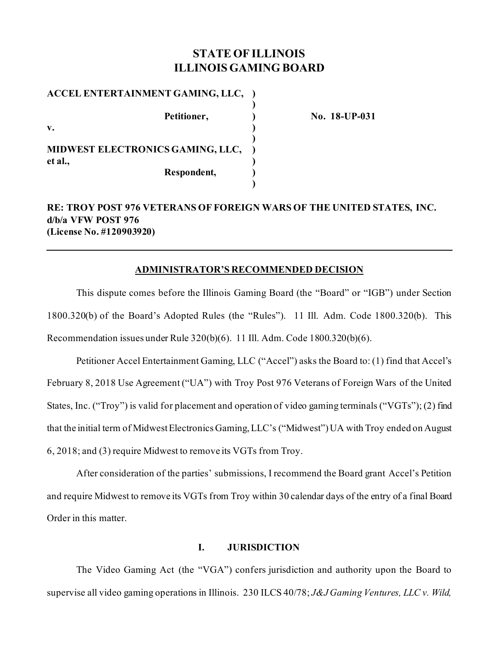# **STATE OF ILLINOIS ILLINOIS GAMING BOARD**

| ACCEL ENTERTAINMENT GAMING, LLC,        |  |
|-----------------------------------------|--|
| Petitioner,<br>v.                       |  |
| <b>MIDWEST ELECTRONICS GAMING, LLC,</b> |  |
| et al.,<br>Respondent,                  |  |

**No. 18-UP-031** 

# **RE: TROY POST 976 VETERANS OF FOREIGN WARS OF THE UNITED STATES, INC. d/b/a VFW POST 976 (License No. #120903920)**

## **ADMINISTRATOR'S RECOMMENDED DECISION**

This dispute comes before the Illinois Gaming Board (the "Board" or "IGB") under Section 1800.320(b) of the Board's Adopted Rules (the "Rules"). 11 Ill. Adm. Code 1800.320(b). This Recommendation issues under Rule 320(b)(6). 11 Ill. Adm. Code 1800.320(b)(6).

Petitioner Accel Entertainment Gaming, LLC ("Accel") asks the Board to: (1) find that Accel's February 8, 2018 Use Agreement ("UA") with Troy Post 976 Veterans of Foreign Wars of the United States, Inc. ("Troy") is valid for placement and operation of video gaming terminals ("VGTs"); (2) find that the initial term of Midwest Electronics Gaming, LLC's ("Midwest") UA with Troy ended on August 6, 2018; and (3) require Midwest to remove its VGTs from Troy.

After consideration of the parties' submissions, I recommend the Board grant Accel's Petition and require Midwest to remove its VGTs from Troy within 30 calendar days of the entry of a final Board Order in this matter.

## **I. JURISDICTION**

The Video Gaming Act (the "VGA") confers jurisdiction and authority upon the Board to supervise all video gaming operations in Illinois. 230 ILCS 40/78; *J&J Gaming Ventures, LLC v. Wild,*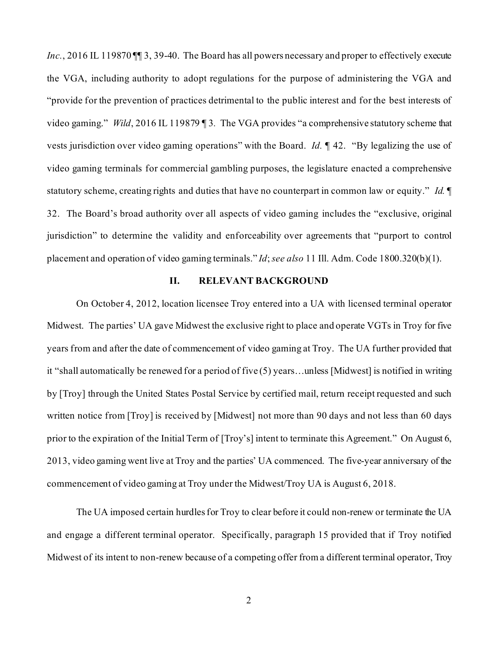*Inc.*, 2016 IL 119870 III 3, 39-40. The Board has all powers necessary and proper to effectively execute the VGA, including authority to adopt regulations for the purpose of administering the VGA and "provide for the prevention of practices detrimental to the public interest and for the best interests of video gaming." *Wild*, 2016 IL 119879 ¶ 3*.* The VGA provides "a comprehensive statutory scheme that vests jurisdiction over video gaming operations" with the Board. *Id.* ¶ 42. "By legalizing the use of video gaming terminals for commercial gambling purposes, the legislature enacted a comprehensive statutory scheme, creating rights and duties that have no counterpart in common law or equity." *Id.* ¶ 32. The Board's broad authority over all aspects of video gaming includes the "exclusive, original jurisdiction" to determine the validity and enforceability over agreements that "purport to control placement and operation of video gaming terminals." *Id*; *see also* 11 Ill. Adm. Code 1800.320(b)(1).

### **II. RELEVANT BACKGROUND**

On October 4, 2012, location licensee Troy entered into a UA with licensed terminal operator Midwest. The parties' UA gave Midwest the exclusive right to place and operate VGTs in Troy for five years from and after the date of commencement of video gaming at Troy. The UA further provided that it "shall automatically be renewed for a period of five (5) years…unless [Midwest] is notified in writing by [Troy] through the United States Postal Service by certified mail, return receipt requested and such written notice from [Troy] is received by [Midwest] not more than 90 days and not less than 60 days prior to the expiration of the Initial Term of [Troy's] intent to terminate this Agreement." On August 6, 2013, video gaming went live at Troy and the parties' UA commenced. The five-year anniversary of the commencement of video gaming at Troy under the Midwest/Troy UA is August 6, 2018.

The UA imposed certain hurdles for Troy to clear before it could non-renew or terminate the UA and engage a different terminal operator. Specifically, paragraph 15 provided that if Troy notified Midwest of its intent to non-renew because of a competing offer from a different terminal operator, Troy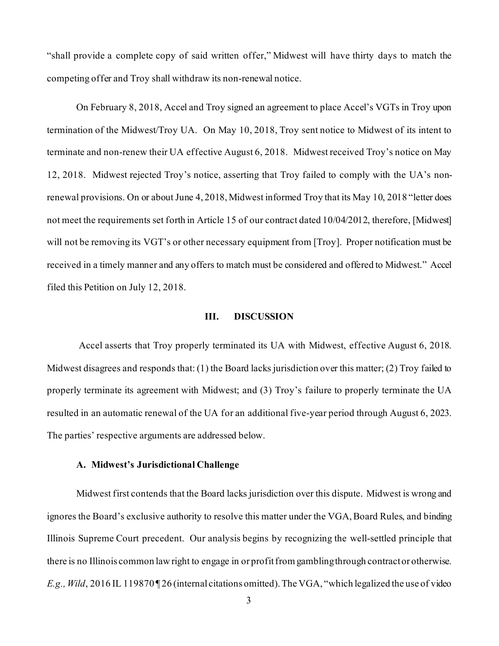"shall provide a complete copy of said written offer," Midwest will have thirty days to match the competing offer and Troy shall withdraw its non-renewal notice.

On February 8, 2018, Accel and Troy signed an agreement to place Accel's VGTs in Troy upon termination of the Midwest/Troy UA. On May 10, 2018, Troy sent notice to Midwest of its intent to terminate and non-renew their UA effective August 6, 2018. Midwest received Troy's notice on May 12, 2018. Midwest rejected Troy's notice, asserting that Troy failed to comply with the UA's nonrenewal provisions. On or about June 4, 2018, Midwest informed Troy that its May 10, 2018 "letter does not meet the requirements set forth in Article 15 of our contract dated 10/04/2012, therefore, [Midwest] will not be removing its VGT's or other necessary equipment from [Troy]. Proper notification must be received in a timely manner and any offers to match must be considered and offered to Midwest." Accel filed this Petition on July 12, 2018.

#### **III. DISCUSSION**

Accel asserts that Troy properly terminated its UA with Midwest, effective August 6, 2018. Midwest disagrees and responds that: (1) the Board lacks jurisdiction over this matter; (2) Troy failed to properly terminate its agreement with Midwest; and (3) Troy's failure to properly terminate the UA resulted in an automatic renewal of the UA for an additional five-year period through August 6, 2023. The parties' respective arguments are addressed below.

### **A. Midwest's Jurisdictional Challenge**

Midwest first contends that the Board lacks jurisdiction over this dispute. Midwest is wrong and ignores the Board's exclusive authority to resolve this matter under the VGA, Board Rules, and binding Illinois Supreme Court precedent. Our analysis begins by recognizing the well-settled principle that there is no Illinois common law right to engage in or profit from gambling through contract or otherwise. *E.g., Wild*, 2016 IL 119870¶ 26 (internal citations omitted). The VGA, "which legalized the use of video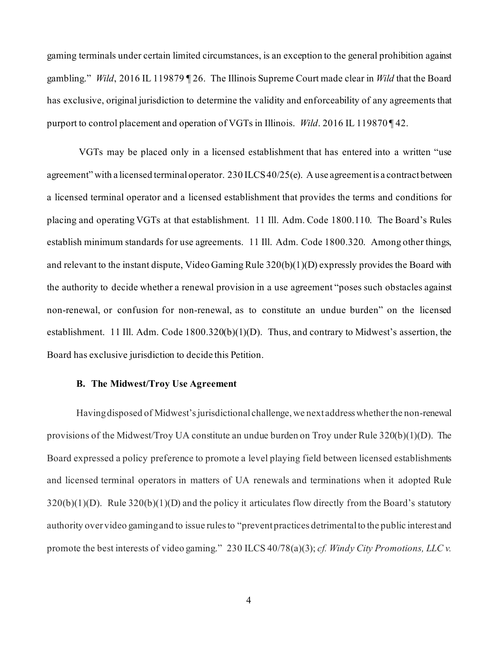gaming terminals under certain limited circumstances, is an exception to the general prohibition against gambling." *Wild*, 2016 IL 119879 ¶ 26. The Illinois Supreme Court made clear in *Wild* that the Board has exclusive, original jurisdiction to determine the validity and enforceability of any agreements that purport to control placement and operation of VGTs in Illinois. *Wild*. 2016 IL 119870 ¶ 42.

VGTs may be placed only in a licensed establishment that has entered into a written "use agreement" with a licensed terminal operator. 230 ILCS 40/25(e). A use agreement is a contract between a licensed terminal operator and a licensed establishment that provides the terms and conditions for placing and operating VGTs at that establishment. 11 Ill. Adm. Code 1800.110. The Board's Rules establish minimum standards for use agreements. 11 Ill. Adm. Code 1800.320. Among other things, and relevant to the instant dispute, Video Gaming Rule 320(b)(1)(D) expressly provides the Board with the authority to decide whether a renewal provision in a use agreement "poses such obstacles against non-renewal, or confusion for non-renewal, as to constitute an undue burden" on the licensed establishment. 11 Ill. Adm. Code 1800.320(b)(1)(D). Thus, and contrary to Midwest's assertion, the Board has exclusive jurisdiction to decide this Petition.

### **B. The Midwest/Troy Use Agreement**

Having disposed of Midwest's jurisdictional challenge, we next address whether the non-renewal provisions of the Midwest/Troy UA constitute an undue burden on Troy under Rule 320(b)(1)(D). The Board expressed a policy preference to promote a level playing field between licensed establishments and licensed terminal operators in matters of UA renewals and terminations when it adopted Rule  $320(b)(1)(D)$ . Rule  $320(b)(1)(D)$  and the policy it articulates flow directly from the Board's statutory authority over video gaming and to issue rules to "preventpractices detrimental to the public interest and promote the best interests of video gaming." 230 ILCS 40/78(a)(3); *cf. Windy City Promotions, LLC v.*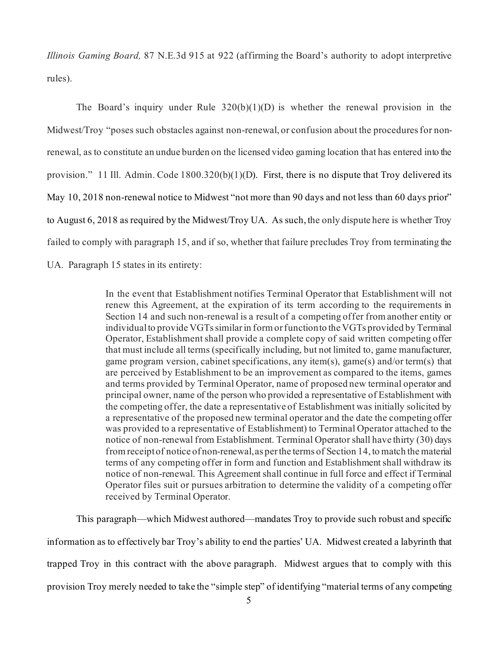*Illinois Gaming Board,* 87 N.E.3d 915 at 922 (affirming the Board's authority to adopt interpretive rules).

The Board's inquiry under Rule  $320(b)(1)(D)$  is whether the renewal provision in the Midwest/Troy "poses such obstacles against non-renewal, or confusion about the procedures for nonrenewal, as to constitute an undue burden on the licensed video gaming location that has entered into the provision." 11 Ill. Admin. Code 1800.320(b)(1)(D). First, there is no dispute that Troy delivered its May 10, 2018 non-renewal notice to Midwest "not more than 90 days and not less than 60 days prior" to August 6, 2018 as required by the Midwest/Troy UA. As such, the only dispute here is whether Troy failed to comply with paragraph 15, and if so, whether that failure precludes Troy from terminating the UA. Paragraph 15 states in its entirety:

> In the event that Establishment notifies Terminal Operator that Establishment will not renew this Agreement, at the expiration of its term according to the requirements in Section 14 and such non-renewal is a result of a competing offer from another entity or individual to provide VGTs similar in form or function to the VGTs provided by Terminal Operator, Establishment shall provide a complete copy of said written competing offer that must include all terms (specifically including, but not limited to, game manufacturer, game program version, cabinet specifications, any item(s), game(s) and/or term(s) that are perceived by Establishment to be an improvement as compared to the items, games and terms provided by Terminal Operator, name of proposed new terminal operator and principal owner, name of the person who provided a representative of Establishment with the competing offer, the date a representative of Establishment was initially solicited by a representative of the proposed new terminal operator and the date the competing offer was provided to a representative of Establishment) to Terminal Operator attached to the notice of non-renewal from Establishment. Terminal Operator shall have thirty (30) days from receipt of notice of non-renewal, as per the terms of Section 14, to match the material terms of any competing offer in form and function and Establishment shall withdraw its notice of non-renewal. This Agreement shall continue in full force and effect if Terminal Operator files suit or pursues arbitration to determine the validity of a competing offer received by Terminal Operator.

This paragraph—which Midwest authored—mandates Troy to provide such robust and specific information as to effectively bar Troy's ability to end the parties' UA. Midwest created a labyrinth that trapped Troy in this contract with the above paragraph. Midwest argues that to comply with this provision Troy merely needed to take the "simple step" of identifying "material terms of any competing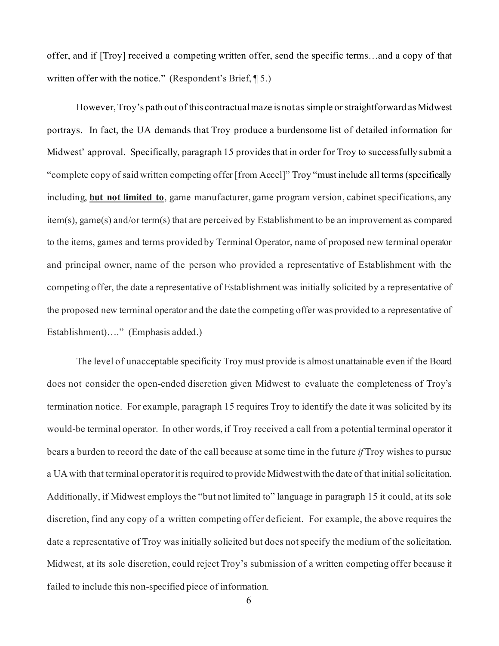offer, and if [Troy] received a competing written offer, send the specific terms…and a copy of that written offer with the notice." (Respondent's Brief, ¶ 5.)

However, Troy's path out of this contractual maze is not as simple or straightforward as Midwest portrays. In fact, the UA demands that Troy produce a burdensome list of detailed information for Midwest' approval. Specifically, paragraph 15 provides that in order for Troy to successfully submit a "complete copy of said written competing offer [from Accel]" Troy "must include all terms (specifically including, **but not limited to**, game manufacturer, game program version, cabinet specifications, any item(s), game(s) and/or term(s) that are perceived by Establishment to be an improvement as compared to the items, games and terms provided by Terminal Operator, name of proposed new terminal operator and principal owner, name of the person who provided a representative of Establishment with the competing offer, the date a representative of Establishment was initially solicited by a representative of the proposed new terminal operator and the date the competing offer was provided to a representative of Establishment)…." (Emphasis added.)

The level of unacceptable specificity Troy must provide is almost unattainable even if the Board does not consider the open-ended discretion given Midwest to evaluate the completeness of Troy's termination notice. For example, paragraph 15 requires Troy to identify the date it was solicited by its would-be terminal operator. In other words, if Troy received a call from a potential terminal operator it bears a burden to record the date of the call because at some time in the future *if* Troy wishes to pursue a UA with that terminal operator it is required to provide Midwest with the date of that initial solicitation. Additionally, if Midwest employs the "but not limited to" language in paragraph 15 it could, at its sole discretion, find any copy of a written competing offer deficient. For example, the above requires the date a representative of Troy was initially solicited but does not specify the medium of the solicitation. Midwest, at its sole discretion, could reject Troy's submission of a written competing offer because it failed to include this non-specified piece of information.